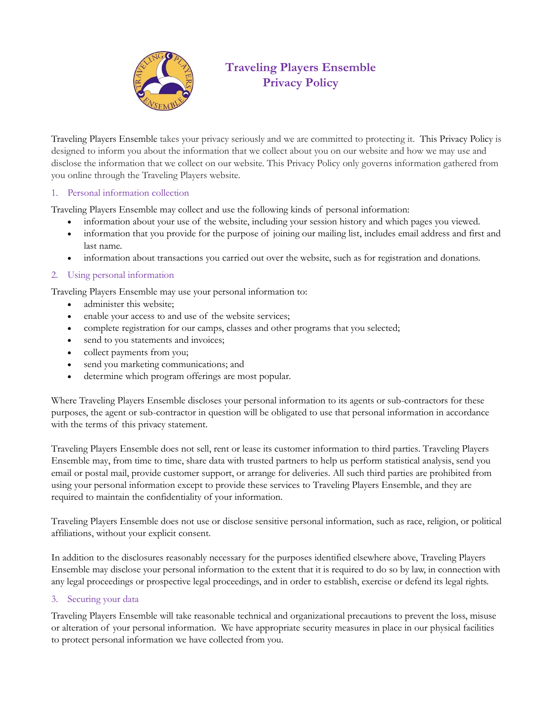

# **Traveling Players Ensemble Privacy Policy**

Traveling Players Ensemble takes your privacy seriously and we are committed to protecting it. This Privacy Policy is designed to inform you about the information that we collect about you on our website and how we may use and disclose the information that we collect on our website. This Privacy Policy only governs information gathered from you online through the Traveling Players website.

### 1. Personal information collection

Traveling Players Ensemble may collect and use the following kinds of personal information:

- information about your use of the website, including your session history and which pages you viewed.
- information that you provide for the purpose of joining our mailing list, includes email address and first and last name.
- information about transactions you carried out over the website, such as for registration and donations.

# 2. Using personal information

Traveling Players Ensemble may use your personal information to:

- administer this website;
- enable your access to and use of the website services;
- complete registration for our camps, classes and other programs that you selected;
- send to you statements and invoices;
- collect payments from you;
- send you marketing communications; and
- determine which program offerings are most popular.

Where Traveling Players Ensemble discloses your personal information to its agents or sub-contractors for these purposes, the agent or sub-contractor in question will be obligated to use that personal information in accordance with the terms of this privacy statement.

Traveling Players Ensemble does not sell, rent or lease its customer information to third parties. Traveling Players Ensemble may, from time to time, share data with trusted partners to help us perform statistical analysis, send you email or postal mail, provide customer support, or arrange for deliveries. All such third parties are prohibited from using your personal information except to provide these services to Traveling Players Ensemble, and they are required to maintain the confidentiality of your information.

Traveling Players Ensemble does not use or disclose sensitive personal information, such as race, religion, or political affiliations, without your explicit consent.

In addition to the disclosures reasonably necessary for the purposes identified elsewhere above, Traveling Players Ensemble may disclose your personal information to the extent that it is required to do so by law, in connection with any legal proceedings or prospective legal proceedings, and in order to establish, exercise or defend its legal rights.

### 3. Securing your data

Traveling Players Ensemble will take reasonable technical and organizational precautions to prevent the loss, misuse or alteration of your personal information. We have appropriate security measures in place in our physical facilities to protect personal information we have collected from you.